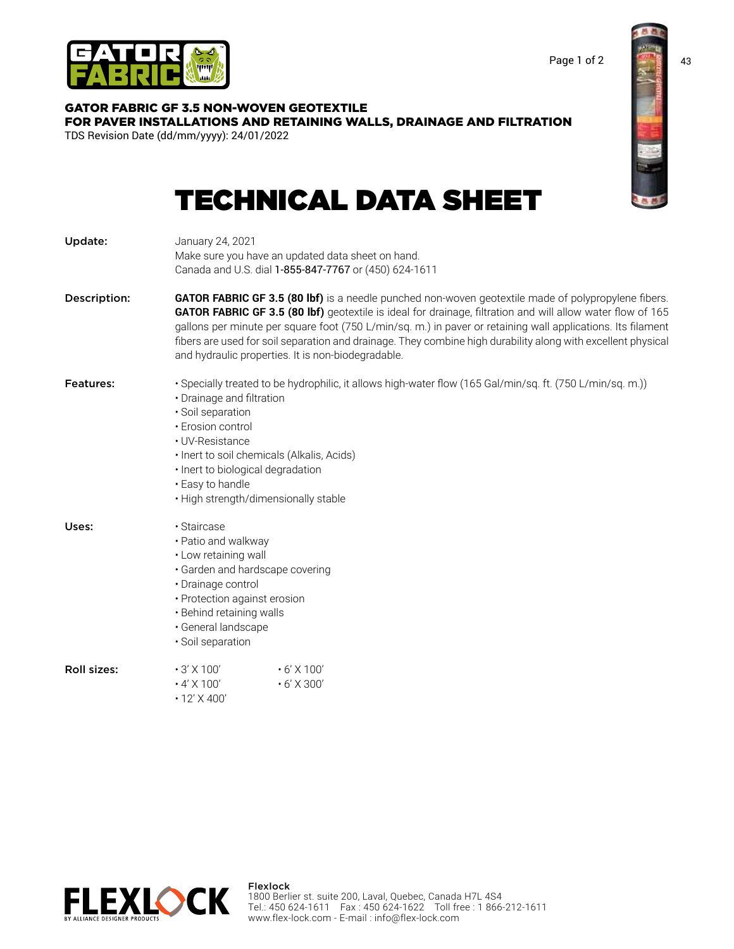

TDS Revision Date (dd/mm/yyyy): 24/01/2022

GATOR FABRIC GF 3.5 NON-WOVEN GEOTEXTILE



[FOR PAVER INSTALLATIONS AND RETAINING WALLS, DRAINAGE AND FILTRATION](https://flex-lock.com/gator-grids-fabrics/gator-fabric-gf3-5/)

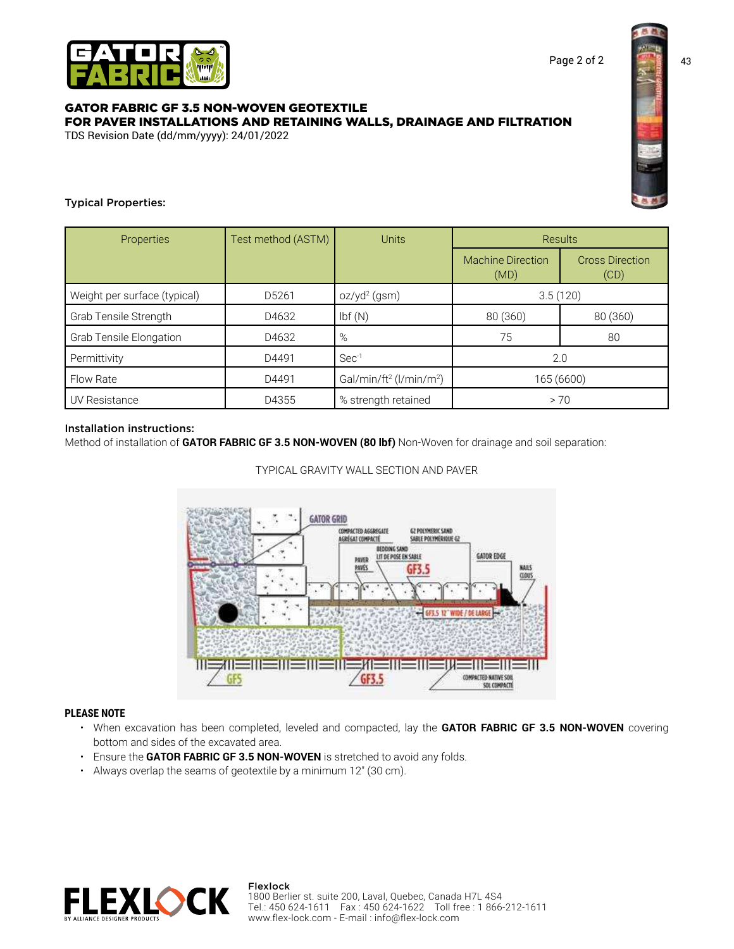

## GATOR FABRIC GF 3.5 NON-WOVEN GEOTEXTILE [FOR PAVER INSTALLATIONS AND RETAINING WALLS, DRAINAGE AND FILTRATION](https://flex-lock.com/gator-grids-fabrics/gator-fabric-gf3-5/) TDS Revision Date (dd/mm/yyyy): 24/01/2022



# Typical Properties:

| Properties                     | Test method (ASTM) | <b>Units</b>                                    | <b>Results</b>                   |                                |
|--------------------------------|--------------------|-------------------------------------------------|----------------------------------|--------------------------------|
|                                |                    |                                                 | <b>Machine Direction</b><br>(MD) | <b>Cross Direction</b><br>(CD) |
| Weight per surface (typical)   | D5261              | $oz/yd^2$ (gsm)                                 | 3.5(120)                         |                                |
| Grab Tensile Strength          | D4632              | Ibf(M)                                          | 80 (360)                         | 80 (360)                       |
| <b>Grab Tensile Elongation</b> | D4632              | %                                               | 75                               | 80                             |
| Permittivity                   | D4491              | $Sec-1$                                         | 2.0                              |                                |
| <b>Flow Rate</b>               | D4491              | Gal/min/ft <sup>2</sup> (l/min/m <sup>2</sup> ) | 165 (6600)                       |                                |
| UV Resistance                  | D4355              | % strength retained                             | > 70                             |                                |

## Installation instructions:

Method of installation of **GATOR FABRIC GF 3.5 NON-WOVEN (80 lbf)** Non-Woven for drainage and soil separation:

## TYPICAL GRAVITY WALL SECTION AND PAVER



## **PLEASE NOTE**

- When excavation has been completed, leveled and compacted, lay the **GATOR FABRIC GF 3.5 NON-WOVEN** covering bottom and sides of the excavated area.
- Ensure the **GATOR FABRIC GF 3.5 NON-WOVEN** is stretched to avoid any folds.
- Always overlap the seams of geotextile by a minimum 12″ (30 cm).